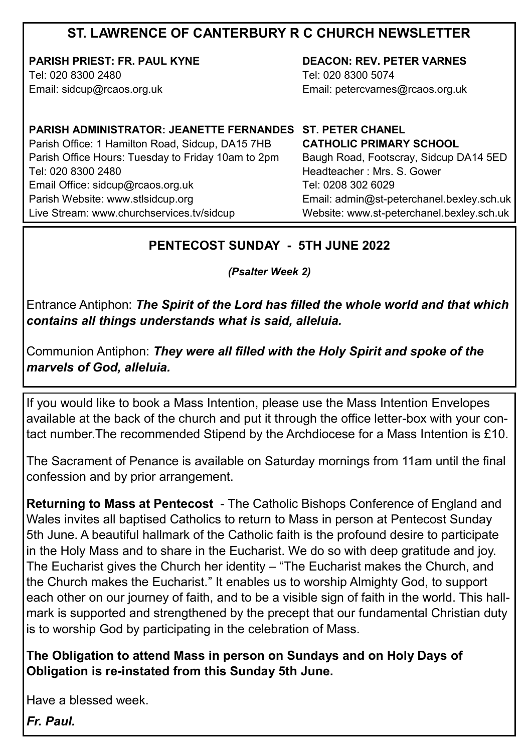## **ST. LAWRENCE OF CANTERBURY R C CHURCH NEWSLETTER**

**PARISH PRIEST: FR. PAUL KYNE** Tel: 020 8300 2480

Email: sidcup@rcaos.org.uk

**DEACON: REV. PETER VARNES**  Tel: 020 8300 5074 Email: petercvarnes@rcaos.org.uk

### **PARISH ADMINISTRATOR: JEANETTE FERNANDES ST. PETER CHANEL**

Parish Office: 1 Hamilton Road, Sidcup, DA15 7HB Parish Office Hours: Tuesday to Friday 10am to 2pm Tel: 020 8300 2480 Email Office: sidcup@rcaos.org.uk Parish Website: www.stlsidcup.org Live Stream: www.churchservices.tv/sidcup

### **CATHOLIC PRIMARY SCHOOL**  Baugh Road, Footscray, Sidcup DA14 5ED Headteacher : Mrs. S. Gower Tel: 0208 302 6029 Email: admin@st-peterchanel.bexley.sch.uk Website: www.st-peterchanel.bexley.sch.uk

### **PENTECOST SUNDAY - 5TH JUNE 2022**

*(Psalter Week 2)*

Entrance Antiphon: *The Spirit of the Lord has filled the whole world and that which contains all things understands what is said, alleluia.*

Communion Antiphon: *They were all filled with the Holy Spirit and spoke of the marvels of God, alleluia.*

If you would like to book a Mass Intention, please use the Mass Intention Envelopes available at the back of the church and put it through the office letter-box with your contact number.The recommended Stipend by the Archdiocese for a Mass Intention is £10.

The Sacrament of Penance is available on Saturday mornings from 11am until the final confession and by prior arrangement.

**Returning to Mass at Pentecost** - The Catholic Bishops Conference of England and Wales invites all baptised Catholics to return to Mass in person at Pentecost Sunday 5th June. A beautiful hallmark of the Catholic faith is the profound desire to participate in the Holy Mass and to share in the Eucharist. We do so with deep gratitude and joy. The Eucharist gives the Church her identity – "The Eucharist makes the Church, and the Church makes the Eucharist." It enables us to worship Almighty God, to support each other on our journey of faith, and to be a visible sign of faith in the world. This hallmark is supported and strengthened by the precept that our fundamental Christian duty is to worship God by participating in the celebration of Mass.

**The Obligation to attend Mass in person on Sundays and on Holy Days of Obligation is re-instated from this Sunday 5th June.** 

Have a blessed week.

*Fr. Paul.*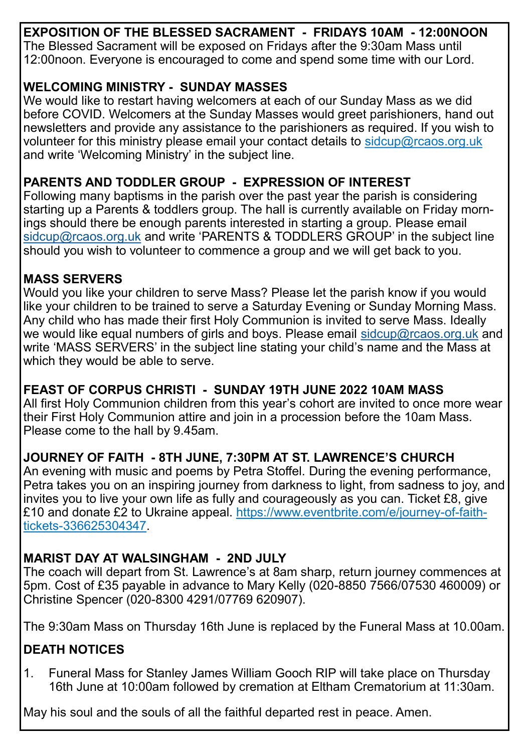**EXPOSITION OF THE BLESSED SACRAMENT - FRIDAYS 10AM - 12:00NOON** The Blessed Sacrament will be exposed on Fridays after the 9:30am Mass until 12:00noon. Everyone is encouraged to come and spend some time with our Lord.

### **WELCOMING MINISTRY - SUNDAY MASSES**

We would like to restart having welcomers at each of our Sunday Mass as we did before COVID. Welcomers at the Sunday Masses would greet parishioners, hand out newsletters and provide any assistance to the parishioners as required. If you wish to volunteer for this ministry please email your contact details to sidcup@rcaos.org.uk and write 'Welcoming Ministry' in the subject line.

## **PARENTS AND TODDLER GROUP - EXPRESSION OF INTEREST**

Following many baptisms in the parish over the past year the parish is considering starting up a Parents & toddlers group. The hall is currently available on Friday mornings should there be enough parents interested in starting a group. Please email [sidcup@rcaos.org.uk](mailto:sidcup@rcaos.org.uk) and write 'PARENTS & TODDLERS GROUP' in the subject line should you wish to volunteer to commence a group and we will get back to you.

### **MASS SERVERS**

Would you like your children to serve Mass? Please let the parish know if you would like your children to be trained to serve a Saturday Evening or Sunday Morning Mass. Any child who has made their first Holy Communion is invited to serve Mass. Ideally we would like equal numbers of girls and boys. Please email [sidcup@rcaos.org.uk](mailto:sidcup@rcaos.org.uk) and write 'MASS SERVERS' in the subject line stating your child's name and the Mass at which they would be able to serve.

### **FEAST OF CORPUS CHRISTI - SUNDAY 19TH JUNE 2022 10AM MASS**

All first Holy Communion children from this year's cohort are invited to once more wear their First Holy Communion attire and join in a procession before the 10am Mass. Please come to the hall by 9.45am.

# **JOURNEY OF FAITH - 8TH JUNE, 7:30PM AT ST. LAWRENCE'S CHURCH**

An evening with music and poems by Petra Stoffel. During the evening performance, Petra takes you on an inspiring journey from darkness to light, from sadness to joy, and invites you to live your own life as fully and courageously as you can. Ticket £8, give £10 and donate £2 to Ukraine appeal. https://www.eventbrite.com/e/journey-of-faithtickets-336625304347.

# **MARIST DAY AT WALSINGHAM - 2ND JULY**

The coach will depart from St. Lawrence's at 8am sharp, return journey commences at 5pm. Cost of £35 payable in advance to Mary Kelly (020-8850 7566/07530 460009) or Christine Spencer (020-8300 4291/07769 620907).

The 9:30am Mass on Thursday 16th June is replaced by the Funeral Mass at 10.00am.

# **DEATH NOTICES**

1. Funeral Mass for Stanley James William Gooch RIP will take place on Thursday 16th June at 10:00am followed by cremation at Eltham Crematorium at 11:30am.

May his soul and the souls of all the faithful departed rest in peace. Amen.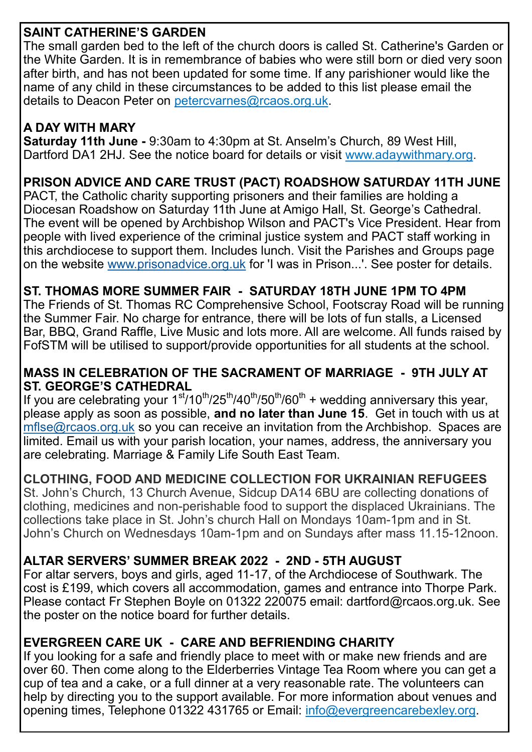## **SAINT CATHERINE'S GARDEN**

The small garden bed to the left of the church doors is called St. Catherine's Garden or the White Garden. It is in remembrance of babies who were still born or died very soon after birth, and has not been updated for some time. If any parishioner would like the name of any child in these circumstances to be added to this list please email the details to Deacon Peter on petercvarnes@rcaos.org.uk.

## **A DAY WITH MARY**

**Saturday 11th June -** 9:30am to 4:30pm at St. Anselm's Church, [89 West Hill,](https://www.bing.com/local?lid=YN1018x220192214&id=YN1018x220192214&q=Saint+Anselms+Catholic+Church&name=Saint+Anselms+Catholic+Church&cp=51.44670486450195%7e0.20554320514202118&ppois=51.44670486450195_0.20554320514202118_Saint+Anselms+Catholic+Church)  [Dartford DA1 2HJ.](https://www.bing.com/local?lid=YN1018x220192214&id=YN1018x220192214&q=Saint+Anselms+Catholic+Church&name=Saint+Anselms+Catholic+Church&cp=51.44670486450195%7e0.20554320514202118&ppois=51.44670486450195_0.20554320514202118_Saint+Anselms+Catholic+Church) See the notice board for details or visit www.adaywithmary.org.

## **PRISON ADVICE AND CARE TRUST (PACT) ROADSHOW SATURDAY 11TH JUNE**

PACT, the Catholic charity supporting prisoners and their families are holding a Diocesan Roadshow on Saturday 11th June at Amigo Hall, St. George's Cathedral. The event will be opened by Archbishop Wilson and PACT's Vice President. Hear from people with lived experience of the criminal justice system and PACT staff working in this archdiocese to support them. Includes lunch. Visit the Parishes and Groups page on the website [www.prisonadvice.org.uk](http://www.prisonadvice.org.uk/) for 'I was in Prison...'. See poster for details.

## **ST. THOMAS MORE SUMMER FAIR - SATURDAY 18TH JUNE 1PM TO 4PM**

The Friends of St. Thomas RC Comprehensive School, Footscray Road will be running the Summer Fair. No charge for entrance, there will be lots of fun stalls, a Licensed Bar, BBQ, Grand Raffle, Live Music and lots more. All are welcome. All funds raised by FofSTM will be utilised to support/provide opportunities for all students at the school.

### **MASS IN CELEBRATION OF THE SACRAMENT OF MARRIAGE - 9TH JULY AT ST. GEORGE'S CATHEDRAL**

If you are celebrating your  $1<sup>st</sup>/10<sup>th</sup>/25<sup>th</sup>/40<sup>th</sup>/60<sup>th</sup> + wedding anniversity this year,$ please apply as soon as possible, **and no later than June 15**. Get in touch with us at [mflse@rcaos.org.uk](mailto:mflse@rcaos.org.uk) so you can receive an invitation from the Archbishop. Spaces are limited. Email us with your parish location, your names, address, the anniversary you are celebrating. Marriage & Family Life South East Team.

## **CLOTHING, FOOD AND MEDICINE COLLECTION FOR UKRAINIAN REFUGEES**

St. John's Church, 13 Church Avenue, Sidcup DA14 6BU are collecting donations of clothing, medicines and non-perishable food to support the displaced Ukrainians. The collections take place in St. John's church Hall on Mondays 10am-1pm and in St. John's Church on Wednesdays 10am-1pm and on Sundays after mass 11.15-12noon.

## **ALTAR SERVERS' SUMMER BREAK 2022 - 2ND - 5TH AUGUST**

For altar servers, boys and girls, aged 11-17, of the Archdiocese of Southwark. The cost is £199, which covers all accommodation, games and entrance into Thorpe Park. Please contact Fr Stephen Boyle on 01322 220075 email: dartford@rcaos.org.uk. See the poster on the notice board for further details.

### **EVERGREEN CARE UK - CARE AND BEFRIENDING CHARITY**

If you looking for a safe and friendly place to meet with or make new friends and are over 60. Then come along to the Elderberries Vintage Tea Room where you can get a cup of tea and a cake, or a full dinner at a very reasonable rate. The volunteers can help by directing you to the support available. For more information about venues and opening times, Telephone 01322 431765 or Email: info@evergreencarebexley.org.